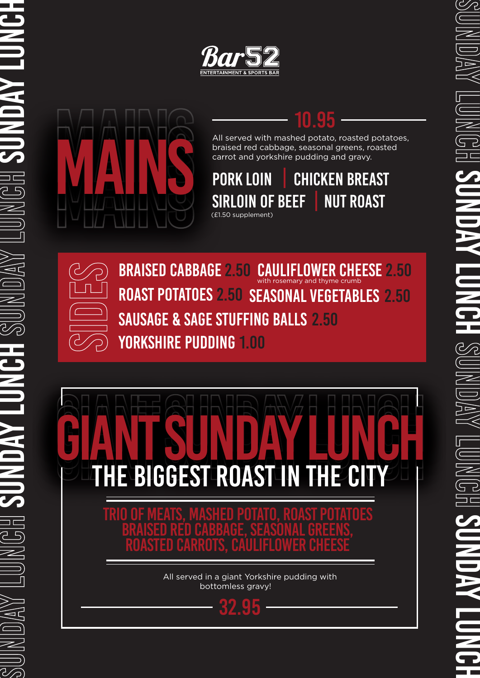

## 10.95

All served with mashed potato, roasted potatoes, braised red cabbage, seasonal greens, roasted carrot and yorkshire pudding and gravy.

PORK LOIN | CHICKEN BREAST SIRLOIN OF BEEF (£1.50 supplement) NUT ROAST



SUNDAY LUNGH SUNDAY LUNCH SUNDAY LUNGH SUNDAY JUNDAY LUNCH

**SIDER ANS AND CABBAGE 2.50 CAULIFLOWER CHEESE 2.50 ROAST POTATOES 2.50 SEASONAL VEGETABLES 2.50 SAUSAGE & SAGE STUFFING BALLS 2.50 PORKSHIRE PUDDING 1.00** with rosemary and thyme crumb ROAST POTATOES 2.50 SEASONAL VEGETABLES 2.50 SAUSAGE & SAGE STUFFING BALLS 2.50 YORKSHIRE PUDDING 1.00